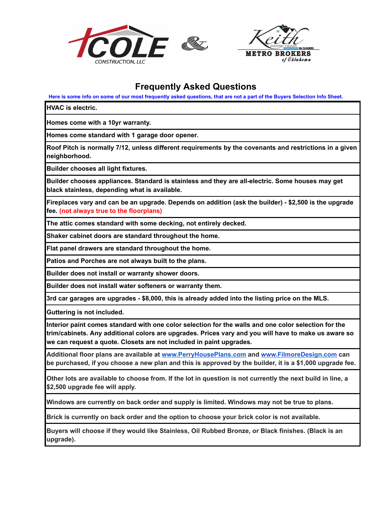



## **Frequently Asked Questions**

Here is some info on some of our most frequently asked questions, that are not a part of the Buyers Selection Info Sheet.

**HVAC is electric.**

**Homes come with a 10yr warranty.**

**Homes come standard with 1 garage door opener.**

**Roof Pitch is normally 7/12, unless different requirements by the covenants and restrictions in a given neighborhood.**

**Builder chooses all light fixtures.**

**Builder chooses appliances. Standard is stainless and they are all-electric. Some houses may get black stainless, depending what is available.**

Fireplaces vary and can be an upgrade. Depends on addition (ask the builder) - \$2,500 is the upgrade **fee. (not always true to the floorplans)**

**The attic comes standard with some decking, not entirely decked.**

**Shaker cabinet doors are standard throughout the home.**

**Flat panel drawers are standard throughout the home.**

**Patios and Porches are not always built to the plans.**

**Builder does not install or warranty shower doors.**

**Builder does not install water softeners or warranty them.**

**3rd car garages are upgrades - \$8,000, this is already added into the listing price on the MLS.**

**Guttering is not included.**

**Interior paint comes standard with one color selection for the walls and one color selection for the trim/cabinets. Any additional colors are upgrades. Prices vary and you will have to make us aware so we can request a quote. Closets are not included in paint upgrades.**

**Additional floor plans are available at [www.PerryHousePlans.com](http://www.perryhouseplans.com/) and www.FilmoreDesign.com can** be purchased, if you choose a new plan and this is approved by the builder, it is a \$1,000 upgrade fee.

Other lots are available to choose from. If the lot in question is not currently the next build in line, a **\$2,500 upgrade fee will apply.**

**Windows are currently on back order and supply is limited. Windows may not be true to plans.**

**Brick is currently on back order and the option to choose your brick color is not available.**

**Buyers will choose if they would like Stainless, Oil Rubbed Bronze, or Black finishes. (Black is an upgrade).**